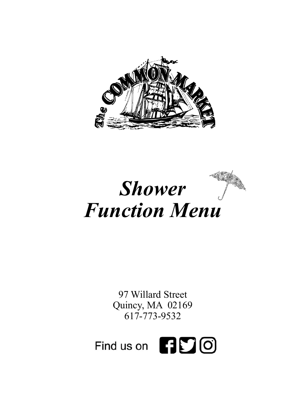



97 Willard Street Quincy, MA 02169 617-773-9532

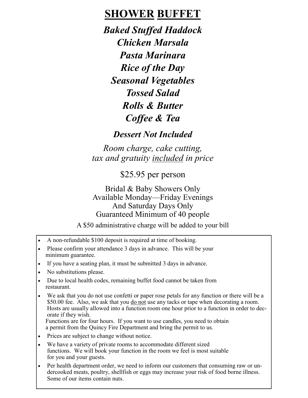# **SHOWER BUFFET**

*Baked Stuffed Haddock Chicken Marsala Pasta Marinara Rice of the Day Seasonal Vegetables Tossed Salad Rolls & Butter Coffee & Tea*

#### *Dessert Not Included*

*Room charge, cake cutting, tax and gratuity included in price*

\$25.95 per person

Bridal & Baby Showers Only Available Monday—Friday Evenings And Saturday Days Only Guaranteed Minimum of 40 people

A \$50 administrative charge will be added to your bill

- A non-refundable \$100 deposit is required at time of booking.
- Please confirm your attendance 3 days in advance. This will be your minimum guarantee.
- If you have a seating plan, it must be submitted 3 days in advance.
- No substitutions please.
- Due to local health codes, remaining buffet food cannot be taken from restaurant.
- We ask that you do not use confetti or paper rose petals for any function or there will be a \$50.00 fee. Also, we ask that you do not use any tacks or tape when decorating a room. Hosts are usually allowed into a function room one hour prior to a function in order to decorate if they wish.

 Functions are for four hours. If you want to use candles, you need to obtain a permit from the Quincy Fire Department and bring the permit to us.

- Prices are subject to change without notice.
- We have a variety of private rooms to accommodate different sized functions. We will book your function in the room we feel is most suitable for you and your guests.
- Per health department order, we need to inform our customers that consuming raw or undercooked meats, poultry, shellfish or eggs may increase your risk of food borne illness. Some of our items contain nuts.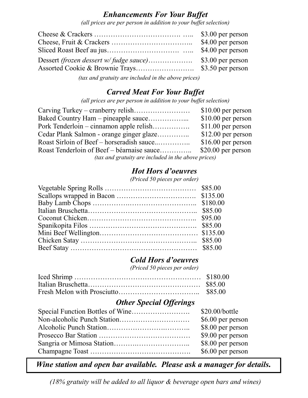#### *Enhancements For Your Buffet*

*(all prices are per person in addition to your buffet selection)*

| \$4.00 per person |
|-------------------|
|                   |
|                   |
|                   |
|                   |

 *(tax and gratuity are included in the above prices)*

### *Carved Meat For Your Buffet*

*(all prices are per person in addition to your buffet selection)*

|                                                     | $$10.00$ per person |  |
|-----------------------------------------------------|---------------------|--|
|                                                     | $$10.00$ per person |  |
| Pork Tenderloin – cinnamon apple relish             | $$11.00$ per person |  |
| Cedar Plank Salmon - orange ginger glaze            | $$12.00$ per person |  |
|                                                     | $$16.00$ per person |  |
| Roast Tenderloin of Beef – béarnaise sauce          | $$20.00$ per person |  |
| (tax and gratuity are included in the above prices) |                     |  |

## *Hot Hors d'oeuvres*

*(Priced 50 pieces per order)*

### *Cold Hors d'oeuvres*

*(Priced 50 pieces per order)*

## *Other Special Offerings*

| \$20.00/bottle    |
|-------------------|
| \$6.00 per person |
| \$8.00 per person |
| \$9.00 per person |
| \$8.00 per person |
| \$6.00 per person |

*Wine station and open bar available. Please ask a manager for details.*

*(18% gratuity will be added to all liquor & beverage open bars and wines)*